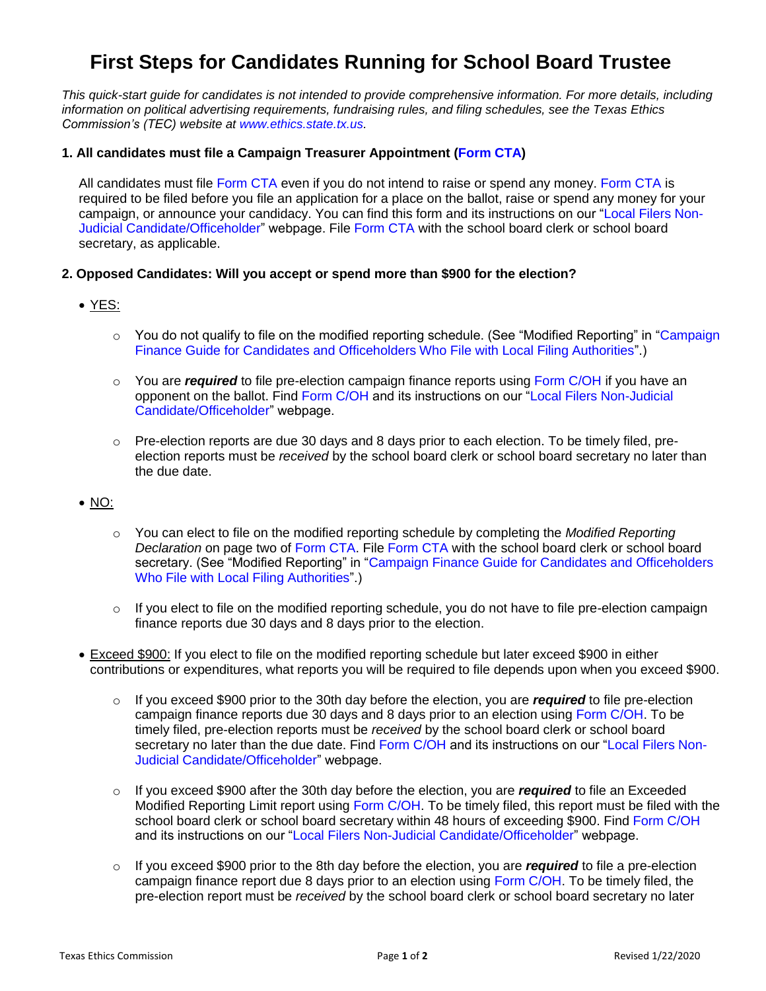# **First Steps for Candidates Running for School Board Trustee**

*This quick-start guide for candidates is not intended to provide comprehensive information. For more details, including information on political advertising requirements, fundraising rules, and filing schedules, see the Texas Ethics Commission's (TEC) website at [www.ethics.state.tx.us.](https://www.ethics.state.tx.us/)* 

## **1. All candidates must file a Campaign Treasurer Appointment [\(Form CTA\)](https://www.ethics.state.tx.us/data/forms/coh/cta.pdf)**

All candidates must file [Form CTA](https://www.ethics.state.tx.us/data/forms/coh/cta.pdf) even if you do not intend to raise or spend any money. [Form CTA](https://www.ethics.state.tx.us/data/forms/coh/cta.pdf) is required to be filed before you file an application for a place on the ballot, raise or spend any money for your campaign, or announce your candidacy. You can find this form and its instructions on our ["Local Filers Non-](http://www.ethics.state.tx.us/forms/local/localcohfrm.php)[Judicial Candidate/Officeholder"](http://www.ethics.state.tx.us/forms/local/localcohfrm.php) webpage. File [Form CTA](https://www.ethics.state.tx.us/data/forms/coh/cta.pdf) with the school board clerk or school board secretary, as applicable.

## **2. Opposed Candidates: Will you accept or spend more than \$900 for the election?**

YES:

- $\circ$  You do not qualify to file on the modified reporting schedule. (See "Modified Reporting" in ["Campaign](https://www.ethics.state.tx.us/data/resources/guides/coh_local_guide.pdf)" [Finance Guide for Candidates and Officeholders Who File with Local Filing Authorities"](https://www.ethics.state.tx.us/data/resources/guides/coh_local_guide.pdf).)
- o You are *required* to file pre-election campaign finance reports using [Form C/OH](https://www.ethics.state.tx.us/data/forms/coh/coh.pdf) if you have an opponent on the ballot. Find [Form C/OH](https://www.ethics.state.tx.us/data/forms/coh/coh.pdf) and its instructions on our ["Local Filers Non-Judicial](http://www.ethics.state.tx.us/forms/local/localcohfrm.php)  [Candidate/Officeholder"](http://www.ethics.state.tx.us/forms/local/localcohfrm.php) webpage.
- $\circ$  Pre-election reports are due 30 days and 8 days prior to each election. To be timely filed, preelection reports must be *received* by the school board clerk or school board secretary no later than the due date.

# $\bullet$  NO:

- o You can elect to file on the modified reporting schedule by completing the *Modified Reporting Declaration* on page two of [Form CTA.](https://www.ethics.state.tx.us/data/forms/coh/cta.pdf) File [Form CTA](https://www.ethics.state.tx.us/data/forms/coh/cta.pdf) with the school board clerk or school board secretary. (See "Modified Reporting" in ["Campaign Finance Guide for Candidates and Officeholders](https://www.ethics.state.tx.us/data/resources/guides/coh_local_guide.pdf)  [Who File with Local Filing Authorities"](https://www.ethics.state.tx.us/data/resources/guides/coh_local_guide.pdf).)
- $\circ$  If you elect to file on the modified reporting schedule, you do not have to file pre-election campaign finance reports due 30 days and 8 days prior to the election.
- Exceed \$900: If you elect to file on the modified reporting schedule but later exceed \$900 in either contributions or expenditures, what reports you will be required to file depends upon when you exceed \$900.
	- o If you exceed \$900 prior to the 30th day before the election, you are *required* to file pre-election campaign finance reports due 30 days and 8 days prior to an election using [Form C/OH.](https://www.ethics.state.tx.us/data/forms/coh/coh.pdf) To be timely filed, pre-election reports must be *received* by the school board clerk or school board secretary no later than the due date. Find [Form C/OH](https://www.ethics.state.tx.us/data/forms/coh/coh.pdf) and its instructions on our ["Local Filers Non-](http://www.ethics.state.tx.us/forms/local/localcohfrm.php)[Judicial Candidate/Officeholder"](http://www.ethics.state.tx.us/forms/local/localcohfrm.php) webpage.
	- o If you exceed \$900 after the 30th day before the election, you are *required* to file an Exceeded Modified Reporting Limit report using [Form C/OH.](https://www.ethics.state.tx.us/data/forms/coh/coh.pdf) To be timely filed, this report must be filed with the school board clerk or school board secretary within 48 hours of exceeding \$900. Find [Form C/OH](https://www.ethics.state.tx.us/data/forms/coh/coh.pdf) and its instructions on our ["Local Filers Non-Judicial Candidate/Officeholder"](http://www.ethics.state.tx.us/forms/local/localcohfrm.php) webpage.
	- o If you exceed \$900 prior to the 8th day before the election, you are *required* to file a pre-election campaign finance report due 8 days prior to an election using [Form C/OH.](https://www.ethics.state.tx.us/data/forms/coh/coh.pdf) To be timely filed, the pre-election report must be *received* by the school board clerk or school board secretary no later